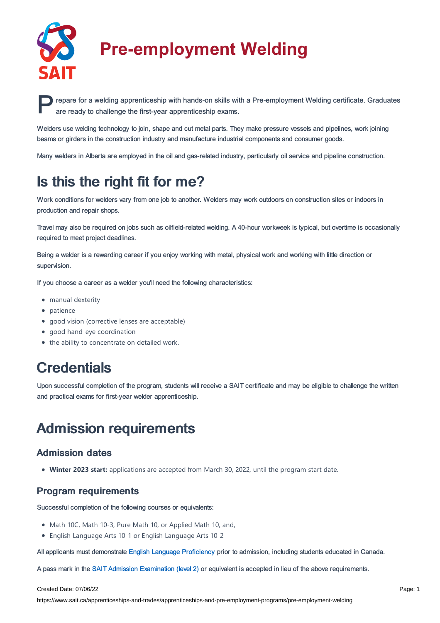

# **Pre-employment Welding**

**PERITED FEDERATES IN A PRESS AND REPART ASSESS AND REPART ASSOCIATES AND REPART ASSESS AND REPART ASSESS AND REPART AT A PRE-EMPLOYMENT WEIGHTS AND REPART AND REPART AND REPART AND REPART AND REPART AND REPART AND REPART** are ready to challenge the first-year apprenticeship exams.

Welders use welding technology to join, shape and cut metal parts. They make pressure vessels and pipelines, work joining beams or girders in the construction industry and manufacture industrial components and consumer goods.

Many welders in Alberta are employed in the oil and gas-related industry, particularly oil service and pipeline construction.

# Is this the right fit for me?

Work conditions for welders vary from one job to another. Welders may work outdoors on construction sites or indoors in production and repair shops.

Travel may also be required on jobs such as oilfield-related welding. A 40-hour workweek is typical, but overtime is occasionally required to meet project deadlines.

Being a welder is a rewarding career if you enjoy working with metal, physical work and working with little direction or supervision.

If you choose a career as a welder you'll need the following characteristics:

- manual dexterity
- patience
- good vision (corrective lenses are acceptable)
- good hand-eye coordination
- the ability to concentrate on detailed work.

## **Credentials**

Upon successful completion of the program, students will receive a SAIT certificate and may be eligible to challenge the written and practical exams for first-year welder apprenticeship.

## Admission requirements

### Admission dates

**Winter 2023 start:** applications are accepted from March 30, 2022, until the program start date.

### Program requirements

Successful completion of the following courses or equivalents:

- Math 10C, Math 10-3, Pure Math 10, or Applied Math 10, and,
- English Language Arts 10-1 or English Language Arts 10-2

All applicants must demonstrate English Language [Proficiency](https://www.sait.ca/pages/admissions/before-you-apply/english-proficiency/english-proficiency) prior to admission, including students educated in Canada.

A pass mark in the SAIT Admission [Examination](https://www.sait.ca/pages/student-life/learner-services/testing-services) (level 2) or equivalent is accepted in lieu of the above requirements.

#### Created Date: 07/06/22

https://www.sait.ca/apprenticeships-and-trades/apprenticeships-and-pre-employment-programs/pre-employment-welding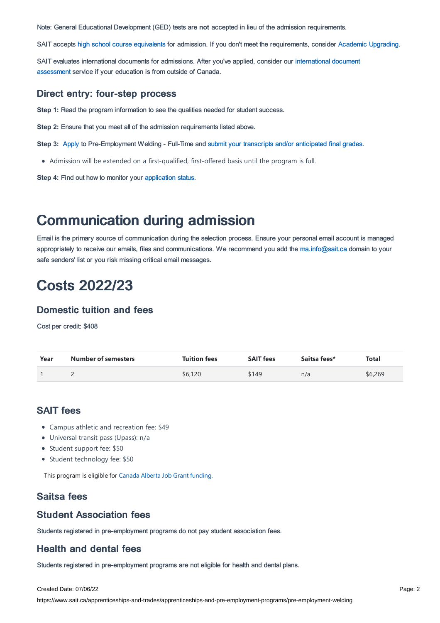Note: General Educational Development (GED) tests are **not** accepted in lieu of the admission requirements.

SAIT accepts high school course [equivalents](https://www.sait.ca/pages/admissions/before-you-apply/high-school-course-equivalencies) for admission. If you don't meet the requirements, consider Academic [Upgrading.](https://www.sait.ca/pages/programs-and-courses/academic-upgrading)

SAIT evaluates [international](https://www.sait.ca/pages/admissions/after-you-apply/international-document-assessment) documents for admissions. After you've applied, consider our international document assessment service if your education is from outside of Canada.

#### Direct entry: four-step process

**Step 1:** Read the program information to see the qualities needed for student success.

**Step 2:** Ensure that you meet all of the admission requirements listed above.

**Step 3:** [Apply](https://www.sait.ca/pages/admissions/apply) to Pre-Employment Welding - Full-Time and submit your transcripts and/or [anticipated](https://www.sait.ca/pages/admissions/after-you-apply/transcripts-and-supporting-documents) final grades.

Admission will be extended on a first-qualified, first-offered basis until the program is full.

**Step 4:** Find out how to monitor your [application](https://www.sait.ca/pages/admissions/after-you-apply/tracking-your-application) status.

## Communication during admission

Email is the primary source of communication during the selection process. Ensure your personal email account is managed appropriately to receive our emails, files and communications. We recommend you add the [ma.info@sait.ca](https://sait.camailto:ma.info@sait.ca) domain to your safe senders' list or you risk missing critical email messages.

## Costs 2022/23

### Domestic tuition and fees

Cost per credit: \$408

| Year | <b>Number of semesters</b> | <b>Tuition fees</b> | <b>SAIT fees</b> | Saitsa fees* | <b>Total</b> |
|------|----------------------------|---------------------|------------------|--------------|--------------|
|      |                            | \$6,120             | \$149            | n/a          | \$6,269      |

### SAIT fees

- Campus athletic and recreation fee: \$49
- Universal transit pass (Upass): n/a
- Student support fee: \$50
- Student technology fee: \$50

This program is eligible for Canada Alberta Job Grant [funding.](https://www.sait.ca/business-and-industry/canada-alberta-job-grant)

### Saitsa fees

#### Student Association fees

Students registered in pre-employment programs do not pay student association fees.

### Health and dental fees

Students registered in pre-employment programs are not eligible for health and dental plans.

#### Created Date: 07/06/22

https://www.sait.ca/apprenticeships-and-trades/apprenticeships-and-pre-employment-programs/pre-employment-welding